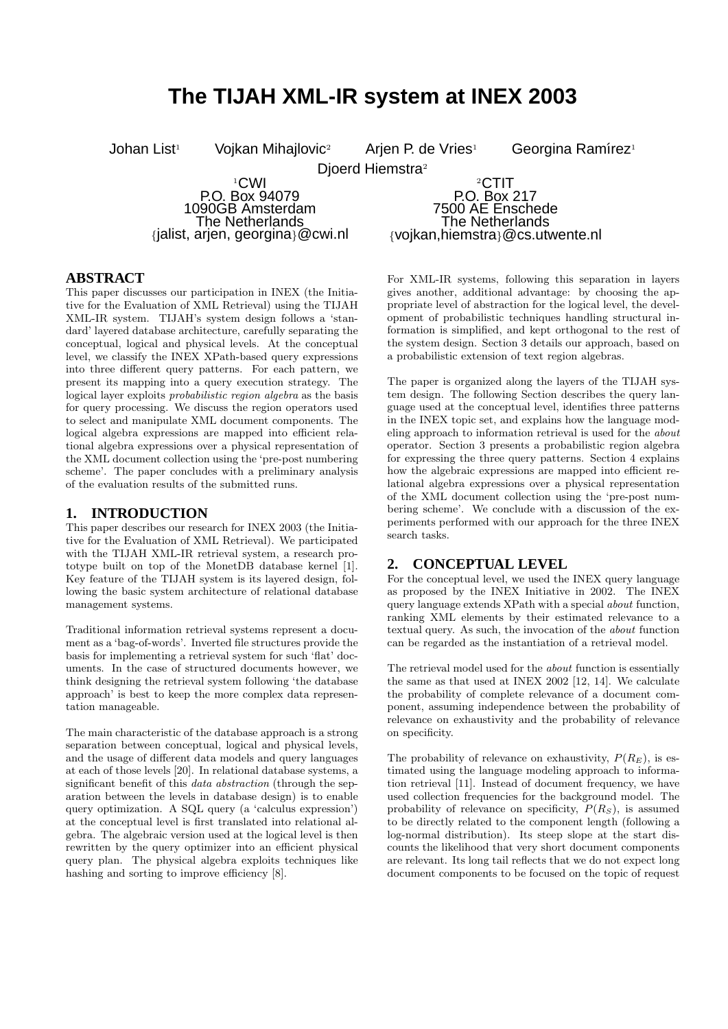# **The TIJAH XML-IR system at INEX 2003**

Johan List<sup>1</sup> Vojkan Mihajlovic<sup>2</sup> Arjen P. de Vries<sup>1</sup> Georgina Ramírez<sup>1</sup> Djoerd Hiemstra<sup>2</sup> <sup>1</sup>CWI P.O. Box 94079 1090GB Amsterdam The Netherlands {jalist, arjen, georgina}@cwi.nl <sup>2</sup>CTIT P.O. Box 217 7500 AE Enschede The Netherlands {vojkan,hiemstra}@cs.utwente.nl

#### **ABSTRACT**

This paper discusses our participation in INEX (the Initiative for the Evaluation of XML Retrieval) using the TIJAH XML-IR system. TIJAH's system design follows a 'standard' layered database architecture, carefully separating the conceptual, logical and physical levels. At the conceptual level, we classify the INEX XPath-based query expressions into three different query patterns. For each pattern, we present its mapping into a query execution strategy. The logical layer exploits probabilistic region algebra as the basis for query processing. We discuss the region operators used to select and manipulate XML document components. The logical algebra expressions are mapped into efficient relational algebra expressions over a physical representation of the XML document collection using the 'pre-post numbering scheme'. The paper concludes with a preliminary analysis of the evaluation results of the submitted runs.

#### **1. INTRODUCTION**

This paper describes our research for INEX 2003 (the Initiative for the Evaluation of XML Retrieval). We participated with the TIJAH XML-IR retrieval system, a research prototype built on top of the MonetDB database kernel [1]. Key feature of the TIJAH system is its layered design, following the basic system architecture of relational database management systems.

Traditional information retrieval systems represent a document as a 'bag-of-words'. Inverted file structures provide the basis for implementing a retrieval system for such 'flat' documents. In the case of structured documents however, we think designing the retrieval system following 'the database approach' is best to keep the more complex data representation manageable.

The main characteristic of the database approach is a strong separation between conceptual, logical and physical levels. and the usage of different data models and query languages at each of those levels [20]. In relational database systems, a significant benefit of this data abstraction (through the separation between the levels in database design) is to enable query optimization. A SQL query (a 'calculus expression') at the conceptual level is first translated into relational algebra. The algebraic version used at the logical level is then rewritten by the query optimizer into an efficient physical query plan. The physical algebra exploits techniques like hashing and sorting to improve efficiency [8].

For XML-IR systems, following this separation in layers gives another, additional advantage: by choosing the appropriate level of abstraction for the logical level, the development of probabilistic techniques handling structural information is simplified, and kept orthogonal to the rest of the system design. Section 3 details our approach, based on a probabilistic extension of text region algebras.

The paper is organized along the layers of the TIJAH system design. The following Section describes the query language used at the conceptual level, identifies three patterns in the INEX topic set, and explains how the language modeling approach to information retrieval is used for the about operator. Section 3 presents a probabilistic region algebra for expressing the three query patterns. Section 4 explains how the algebraic expressions are mapped into efficient relational algebra expressions over a physical representation of the XML document collection using the 'pre-post numbering scheme'. We conclude with a discussion of the experiments performed with our approach for the three INEX search tasks.

## **2. CONCEPTUAL LEVEL**

For the conceptual level, we used the INEX query language as proposed by the INEX Initiative in 2002. The INEX query language extends XPath with a special about function, ranking XML elements by their estimated relevance to a textual query. As such, the invocation of the about function can be regarded as the instantiation of a retrieval model.

The retrieval model used for the about function is essentially the same as that used at INEX 2002 [12, 14]. We calculate the probability of complete relevance of a document component, assuming independence between the probability of relevance on exhaustivity and the probability of relevance on specificity.

The probability of relevance on exhaustivity,  $P(R_E)$ , is estimated using the language modeling approach to information retrieval [11]. Instead of document frequency, we have used collection frequencies for the background model. The probability of relevance on specificity,  $P(R<sub>S</sub>)$ , is assumed to be directly related to the component length (following a log-normal distribution). Its steep slope at the start discounts the likelihood that very short document components are relevant. Its long tail reflects that we do not expect long document components to be focused on the topic of request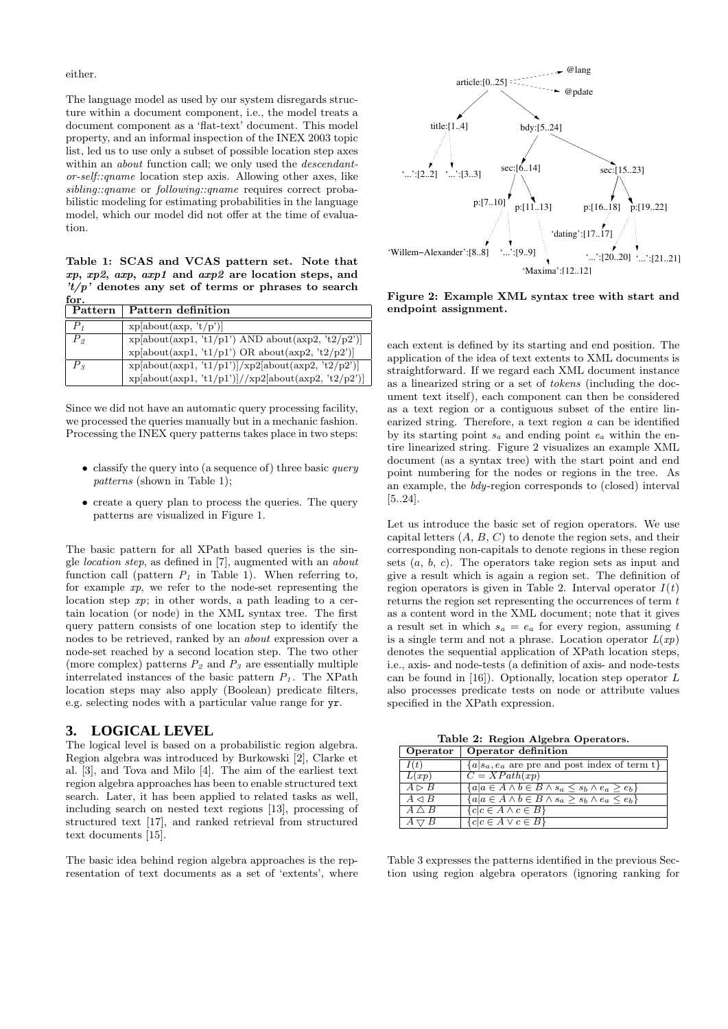either.

The language model as used by our system disregards structure within a document component, i.e., the model treats a document component as a 'flat-text' document. This model property, and an informal inspection of the INEX 2003 topic list, led us to use only a subset of possible location step axes within an *about* function call; we only used the *descendant*or-self::qname location step axis. Allowing other axes, like sibling::qname or following::qname requires correct probabilistic modeling for estimating probabilities in the language model, which our model did not offer at the time of evaluation.

Table 1: SCAS and VCAS pattern set. Note that xp, xp2, axp, axp1 and axp2 are location steps, and  $'t/p'$  denotes any set of terms or phrases to search

| for.              |                                                         |  |  |
|-------------------|---------------------------------------------------------|--|--|
| Pattern           | Pattern definition                                      |  |  |
| $P_{1}$           | xp[about(axp, 't/p')]                                   |  |  |
| $P_{2}$           | $xp[about(axp1, 't1/p1')$ AND about( $axp2, 't2/p2')$ ) |  |  |
|                   | $xp[about(axp1, 't1/p1') \tOR about(axp2, 't2/p2')]$    |  |  |
| $P_{\mathcal{S}}$ | $xp[about(axp1, 't1/p1')]/xp2[about(axp2, 't2/p2')]$    |  |  |
|                   | $xp[about(axp1, 't1/p1')] // xp2[about(axp2, 't2/p2')]$ |  |  |

Since we did not have an automatic query processing facility, we processed the queries manually but in a mechanic fashion. Processing the INEX query patterns takes place in two steps:

- $\bullet$  classify the query into (a sequence of) three basic query patterns (shown in Table 1);
- create a query plan to process the queries. The query patterns are visualized in Figure 1.

The basic pattern for all XPath based queries is the single location step, as defined in [7], augmented with an about function call (pattern  $P_1$  in Table 1). When referring to, for example  $xp$ , we refer to the node-set representing the location step xp; in other words, a path leading to a certain location (or node) in the XML syntax tree. The first query pattern consists of one location step to identify the nodes to be retrieved, ranked by an about expression over a node-set reached by a second location step. The two other (more complex) patterns  $P_2$  and  $P_3$  are essentially multiple interrelated instances of the basic pattern  $P_1$ . The XPath location steps may also apply (Boolean) predicate filters, e.g. selecting nodes with a particular value range for yr.

#### **3. LOGICAL LEVEL**

The logical level is based on a probabilistic region algebra. Region algebra was introduced by Burkowski [2], Clarke et al. [3], and Tova and Milo [4]. The aim of the earliest text region algebra approaches has been to enable structured text search. Later, it has been applied to related tasks as well, including search on nested text regions [13], processing of structured text [17], and ranked retrieval from structured text documents [15].

The basic idea behind region algebra approaches is the representation of text documents as a set of 'extents', where



Figure 2: Example XML syntax tree with start and endpoint assignment.

each extent is defined by its starting and end position. The application of the idea of text extents to XML documents is straightforward. If we regard each XML document instance as a linearized string or a set of tokens (including the document text itself), each component can then be considered as a text region or a contiguous subset of the entire linearized string. Therefore, a text region a can be identified by its starting point  $s_a$  and ending point  $e_a$  within the entire linearized string. Figure 2 visualizes an example XML document (as a syntax tree) with the start point and end point numbering for the nodes or regions in the tree. As an example, the bdy-region corresponds to (closed) interval [5..24].

Let us introduce the basic set of region operators. We use capital letters  $(A, B, C)$  to denote the region sets, and their corresponding non-capitals to denote regions in these region sets  $(a, b, c)$ . The operators take region sets as input and give a result which is again a region set. The definition of region operators is given in Table 2. Interval operator  $I(t)$ returns the region set representing the occurrences of term t as a content word in the XML document; note that it gives a result set in which  $s_a = e_a$  for every region, assuming t is a single term and not a phrase. Location operator  $L(xp)$ denotes the sequential application of XPath location steps, i.e., axis- and node-tests (a definition of axis- and node-tests can be found in [16]). Optionally, location step operator L also processes predicate tests on node or attribute values specified in the XPath expression.

Table 2: Region Algebra Operators.

| Operator               | Operator definition                                               |
|------------------------|-------------------------------------------------------------------|
| I(t)                   | ${a s_a, e_a \text{ are pre and post index of term t}}$           |
| L(xp)                  | $C = XPath(xp)$                                                   |
| $A \triangleright B$   | ${a a \in A \land b \in B \land s_a \leq s_b \land e_a \geq e_b}$ |
| $A \triangleleft B$    | ${a a \in A \land b \in B \land s_a \geq s_b \land e_a \leq e_b}$ |
| $A \wedge B$           | ${c c \in A \land c \in B}$                                       |
| $A \bigtriangledown B$ | ${c c \in A \lor c \in B}$                                        |

Table 3 expresses the patterns identified in the previous Section using region algebra operators (ignoring ranking for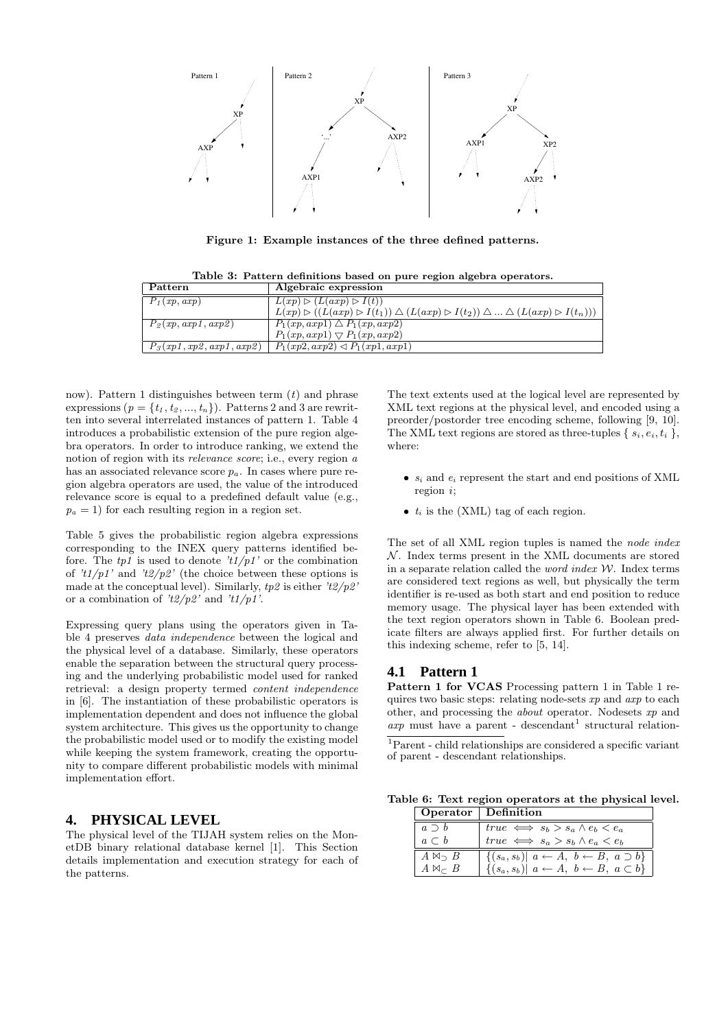

Figure 1: Example instances of the three defined patterns.

Table 3: Pattern definitions based on pure region algebra operators.

| Pattern                           | Algebraic expression                                                                                                                                 |
|-----------------------------------|------------------------------------------------------------------------------------------------------------------------------------------------------|
| $P_1(xp, axp)$                    | $L(xp) \triangleright (L(axp) \triangleright I(t))$                                                                                                  |
|                                   | $L(xp) \triangleright ((L(axp) \triangleright I(t_1)) \triangle (L(axp) \triangleright I(t_2)) \triangle  \triangle (L(axp) \triangleright I(t_n)))$ |
| $P_2(xp, \alpha xp1, \alpha xp2)$ | $P_1(xp, axp1) \triangle P_1(xp, axp2)$                                                                                                              |
|                                   | $P_1(xp, axp1) \bigtriangledown P_1(xp, axp2)$                                                                                                       |
| $P_3(xp1, xp2, exp1, exp2)$       | $P_1(xp2,axp2) \triangleleft P_1(xp1,axp1)$                                                                                                          |

now). Pattern 1 distinguishes between term  $(t)$  and phrase expressions  $(p = \{t_1, t_2, ..., t_n\})$ . Patterns 2 and 3 are rewritten into several interrelated instances of pattern 1. Table 4 introduces a probabilistic extension of the pure region algebra operators. In order to introduce ranking, we extend the notion of region with its relevance score; i.e., every region a has an associated relevance score  $p_a$ . In cases where pure region algebra operators are used, the value of the introduced relevance score is equal to a predefined default value (e.g.,  $p_a = 1$ ) for each resulting region in a region set.

Table 5 gives the probabilistic region algebra expressions corresponding to the INEX query patterns identified before. The  $tp1$  is used to denote  $'t1/p1'$  or the combination of 't1/p1' and 't2/p2' (the choice between these options is made at the conceptual level). Similarly,  $tp2$  is either ' $t2/p2$ ' or a combination of  $t\frac{2}{p^2}$  and  $t\frac{1}{p^1}$ .

Expressing query plans using the operators given in Table 4 preserves data independence between the logical and the physical level of a database. Similarly, these operators enable the separation between the structural query processing and the underlying probabilistic model used for ranked retrieval: a design property termed content independence in [6]. The instantiation of these probabilistic operators is implementation dependent and does not influence the global system architecture. This gives us the opportunity to change the probabilistic model used or to modify the existing model while keeping the system framework, creating the opportunity to compare different probabilistic models with minimal implementation effort.

#### **4. PHYSICAL LEVEL**

The physical level of the TIJAH system relies on the MonetDB binary relational database kernel [1]. This Section details implementation and execution strategy for each of the patterns.

The text extents used at the logical level are represented by XML text regions at the physical level, and encoded using a preorder/postorder tree encoding scheme, following [9, 10]. The XML text regions are stored as three-tuples  $\{s_i, e_i, t_i\}$ , where:

- $s_i$  and  $e_i$  represent the start and end positions of XML region i;
- $t_i$  is the (XML) tag of each region.

The set of all XML region tuples is named the node index  $N$ . Index terms present in the XML documents are stored in a separate relation called the *word index*  $W$ . Index terms are considered text regions as well, but physically the term identifier is re-used as both start and end position to reduce memory usage. The physical layer has been extended with the text region operators shown in Table 6. Boolean predicate filters are always applied first. For further details on this indexing scheme, refer to [5, 14].

## **4.1 Pattern 1**

Pattern 1 for VCAS Processing pattern 1 in Table 1 requires two basic steps: relating node-sets  $xp$  and  $axp$  to each other, and processing the about operator. Nodesets xp and  $\alpha xp$  must have a parent - descendant<sup>1</sup> structural relation-

<sup>1</sup>Parent - child relationships are considered a specific variant of parent - descendant relationships.

Table 6: Text region operators at the physical level.

|                         | Operator   Definition                                         |
|-------------------------|---------------------------------------------------------------|
| $a \supset b$           | true $\iff$ $s_b > s_a \land e_b < e_a$                       |
| $a \subset b$           | true $\iff$ $s_a > s_b \land e_a < e_b$                       |
| $A \bowtie_{\supset} B$ | $\{(s_a, s_b)  a \leftarrow A, b \leftarrow B, a \supset b\}$ |
| $A \bowtie_{\sub} B$    | $\{(s_a, s_b)  a \leftarrow A, b \leftarrow B, a \subset b\}$ |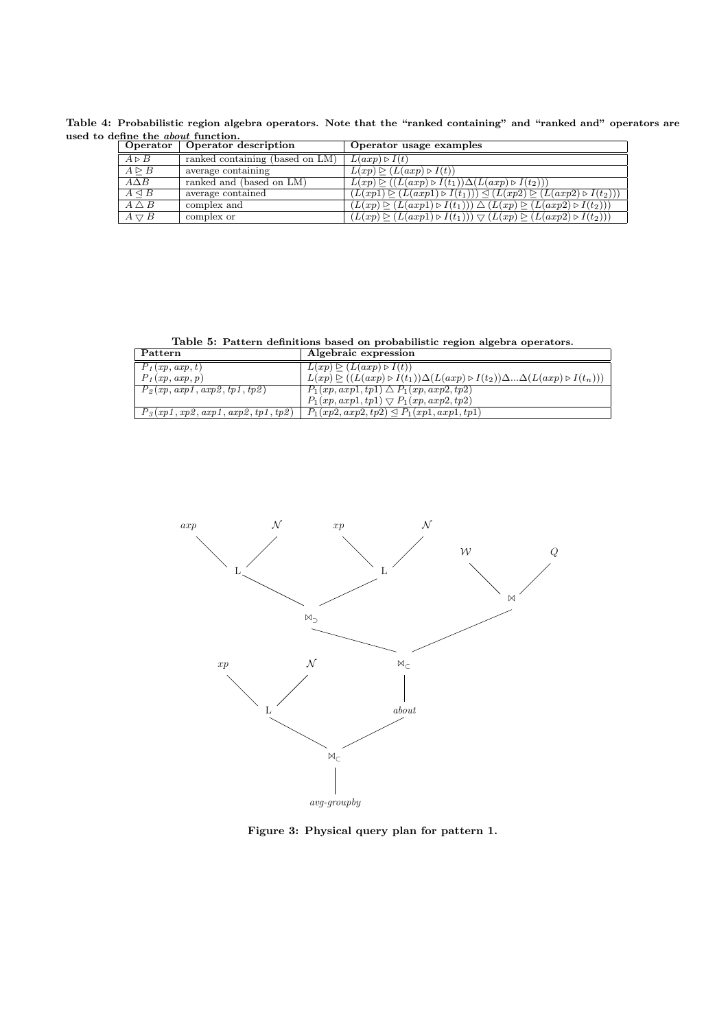Table 4: Probabilistic region algebra operators. Note that the "ranked containing" and "ranked and" operators are used to define the about function.

| Operator               | Operator description               | Operator usage examples                                                                                                           |
|------------------------|------------------------------------|-----------------------------------------------------------------------------------------------------------------------------------|
| $A \triangleright B$   | ranked containing (based on $LM$ ) | $L(axp) \triangleright I(t)$                                                                                                      |
| $A \triangleright B$   | average containing                 | $L(xp) \triangleright (L(axp) \triangleright I(t))$                                                                               |
| $A\Delta B$            | ranked and (based on LM)           | $L(xp) \triangleright ((L(axp) \triangleright I(t_1)) \Delta (L(axp) \triangleright I(t_2)))$                                     |
| $A \triangleleft B$    | average contained                  | $(L(xp1) \triangleright (L(axp1) \triangleright I(t_1))) \trianglelefteq (L(xp2) \triangleright (L(axp2) \triangleright I(t_2)))$ |
| $A \wedge B$           | complex and                        | $(L(xp) \triangleright (L(axp1) \triangleright I(t_1))) \triangle (L(xp) \triangleright (L(axp2) \triangleright I(t_2)))$         |
| $A \bigtriangledown B$ | complex or                         | $(L(xp) \triangleright (L(axp1) \triangleright I(t_1))) \bigtriangledown (L(xp) \triangleright (L(axp2) \triangleright I(t_2)))$  |

Table 5: Pattern definitions based on probabilistic region algebra operators.

| Pattern                                     | Algebraic expression                                                                                                                        |
|---------------------------------------------|---------------------------------------------------------------------------------------------------------------------------------------------|
| $P_1(xp, axp, t)$                           | $L(xp) \triangleright (L(axp) \triangleright I(t))$                                                                                         |
| $P_1(xp, axp, p)$                           | $L(xp) \trianglerighteq ((L(axp) \triangleright I(t_1)) \Delta(L(axp) \triangleright I(t_2)) \Delta  \Delta(L(axp) \triangleright I(t_n)))$ |
| $P_2(xp, \alpha xp1, \alpha xp2, tp1, tp2)$ | $P_1(xp, axp1, tp1) \triangle P_1(xp, axp2, tp2)$                                                                                           |
|                                             | $P_1(xp, axp1, tp1) \nabla P_1(xp, axp2, tp2)$                                                                                              |
| $P_3(xp1, xp2, exp1, exp2, tp1, tp2)$       | $P_1(xp2,axp2(tp2) \trianglelefteq P_1(xp1,axp1(tp1)$                                                                                       |



Figure 3: Physical query plan for pattern 1.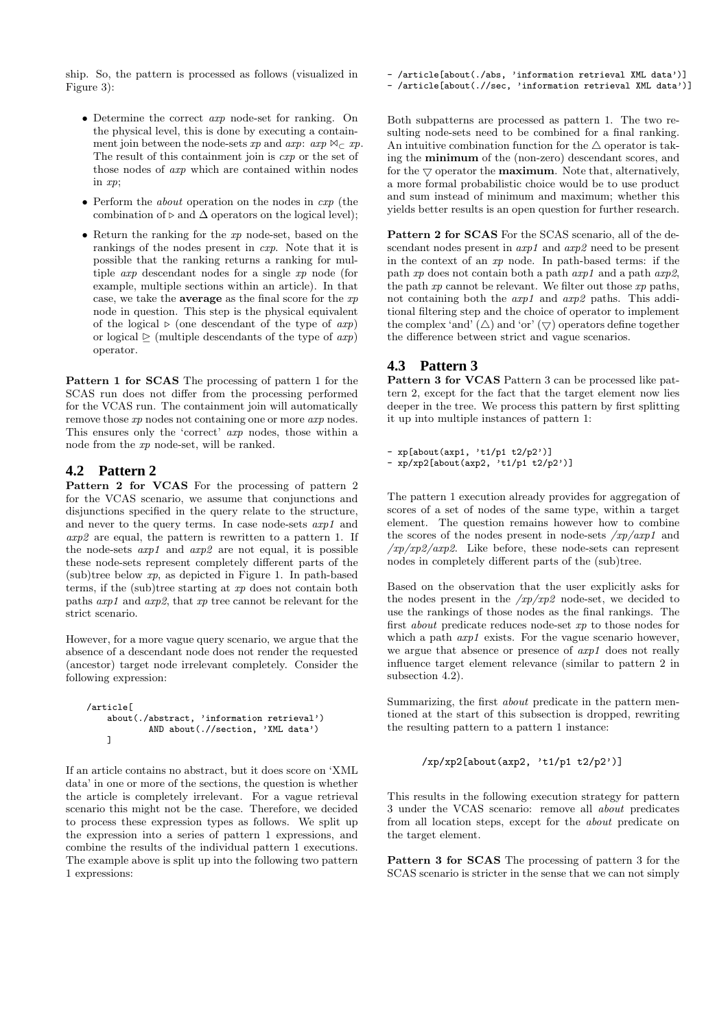ship. So, the pattern is processed as follows (visualized in Figure 3):

- Determine the correct axp node-set for ranking. On the physical level, this is done by executing a containment join between the node-sets xp and axp:  $\alpha x p \mathbb{N} \subset x p$ . The result of this containment join is cxp or the set of those nodes of axp which are contained within nodes in xp;
- Perform the *about* operation on the nodes in  $\exp$  (the combination of  $\triangleright$  and  $\Delta$  operators on the logical level);
- Return the ranking for the xp node-set, based on the rankings of the nodes present in cxp. Note that it is possible that the ranking returns a ranking for multiple axp descendant nodes for a single xp node (for example, multiple sections within an article). In that case, we take the **average** as the final score for the  $xp$ node in question. This step is the physical equivalent of the logical  $\triangleright$  (one descendant of the type of  $\exp$ ) or logical  $\geq$  (multiple descendants of the type of  $\exp$ ) operator.

Pattern 1 for SCAS The processing of pattern 1 for the SCAS run does not differ from the processing performed for the VCAS run. The containment join will automatically remove those xp nodes not containing one or more axp nodes. This ensures only the 'correct' axp nodes, those within a node from the xp node-set, will be ranked.

# **4.2 Pattern 2**

Pattern 2 for VCAS For the processing of pattern 2 for the VCAS scenario, we assume that conjunctions and disjunctions specified in the query relate to the structure, and never to the query terms. In case node-sets  $\frac{axp1}{}$  and axp2 are equal, the pattern is rewritten to a pattern 1. If the node-sets  $exp1$  and  $exp2$  are not equal, it is possible these node-sets represent completely different parts of the  $(sub)$ tree below xp, as depicted in Figure 1. In path-based terms, if the (sub)tree starting at xp does not contain both paths  $exp1$  and  $exp2$ , that  $xp$  tree cannot be relevant for the strict scenario.

However, for a more vague query scenario, we argue that the absence of a descendant node does not render the requested (ancestor) target node irrelevant completely. Consider the following expression:

```
/article[
about(./abstract, 'information retrieval')
        AND about(.//section, 'XML data')
]
```
If an article contains no abstract, but it does score on 'XML data' in one or more of the sections, the question is whether the article is completely irrelevant. For a vague retrieval scenario this might not be the case. Therefore, we decided to process these expression types as follows. We split up the expression into a series of pattern 1 expressions, and combine the results of the individual pattern 1 executions. The example above is split up into the following two pattern 1 expressions:

- /article[about(./abs, 'information retrieval XML data')] - /article[about(.//sec, 'information retrieval XML data')]

Both subpatterns are processed as pattern 1. The two resulting node-sets need to be combined for a final ranking. An intuitive combination function for the  $\triangle$  operator is taking the minimum of the (non-zero) descendant scores, and for the  $\nabla$  operator the **maximum**. Note that, alternatively, a more formal probabilistic choice would be to use product and sum instead of minimum and maximum; whether this yields better results is an open question for further research.

Pattern 2 for SCAS For the SCAS scenario, all of the descendant nodes present in  $\alpha x p1$  and  $\alpha x p2$  need to be present in the context of an xp node. In path-based terms: if the path xp does not contain both a path  $\alpha xp1$  and a path  $\alpha xp2$ , the path  $xp$  cannot be relevant. We filter out those  $xp$  paths, not containing both the axp1 and axp2 paths. This additional filtering step and the choice of operator to implement the complex 'and'  $(\triangle)$  and 'or'  $(\nabla)$  operators define together the difference between strict and vague scenarios.

# **4.3 Pattern 3**

Pattern 3 for VCAS Pattern 3 can be processed like pattern 2, except for the fact that the target element now lies deeper in the tree. We process this pattern by first splitting it up into multiple instances of pattern 1:

```
- xp[about(axp1, 't1/p1 t2/p2')]
```

```
- xp/xp2[about(axp2, 't1/p1 t2/p2')]
```
The pattern 1 execution already provides for aggregation of scores of a set of nodes of the same type, within a target element. The question remains however how to combine the scores of the nodes present in node-sets  $\langle xp/axp1 \rangle$  and  $\sqrt{xp/xp^2/axp^2}$ . Like before, these node-sets can represent nodes in completely different parts of the (sub)tree.

Based on the observation that the user explicitly asks for the nodes present in the  $/xp/xp2$  node-set, we decided to use the rankings of those nodes as the final rankings. The first about predicate reduces node-set xp to those nodes for which a path  $\alpha x p1$  exists. For the vague scenario however, we argue that absence or presence of axp1 does not really influence target element relevance (similar to pattern 2 in subsection 4.2).

Summarizing, the first about predicate in the pattern mentioned at the start of this subsection is dropped, rewriting the resulting pattern to a pattern 1 instance:

```
/xp/xp2[about(axp2, 't1/p1 t2/p2')]
```
This results in the following execution strategy for pattern 3 under the VCAS scenario: remove all about predicates from all location steps, except for the about predicate on the target element.

Pattern 3 for SCAS The processing of pattern 3 for the SCAS scenario is stricter in the sense that we can not simply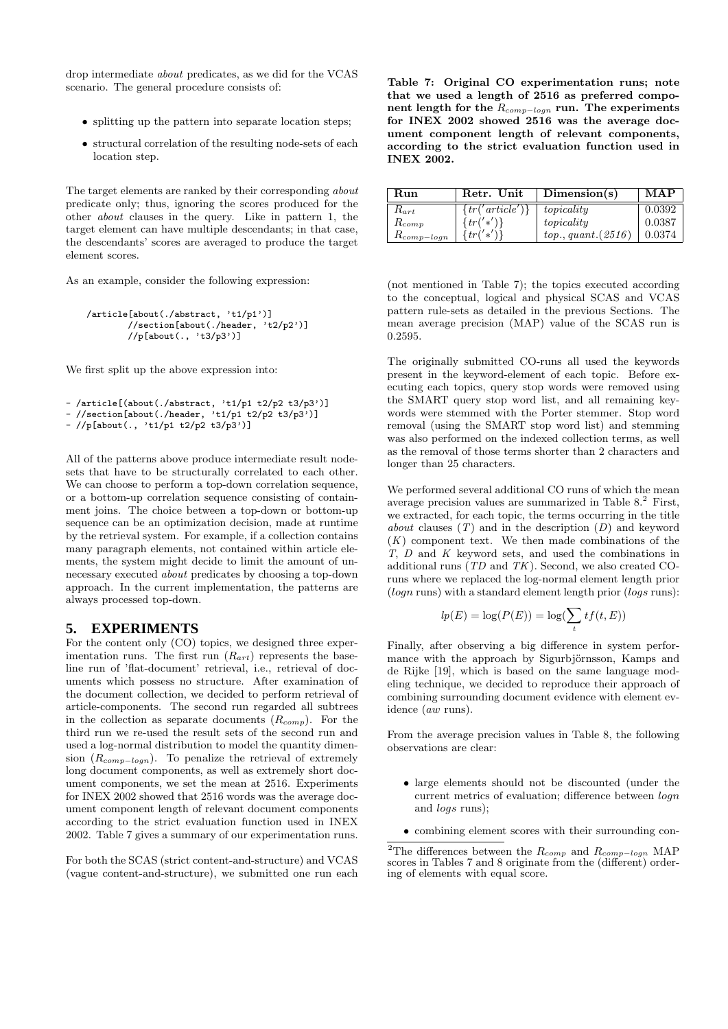drop intermediate about predicates, as we did for the VCAS scenario. The general procedure consists of:

- splitting up the pattern into separate location steps;
- structural correlation of the resulting node-sets of each location step.

The target elements are ranked by their corresponding about predicate only; thus, ignoring the scores produced for the other about clauses in the query. Like in pattern 1, the target element can have multiple descendants; in that case, the descendants' scores are averaged to produce the target element scores.

As an example, consider the following expression:

```
/article[about(./abstract, 't1/p1')]
    //section[about(./header, 't2/p2')]
    //p[about(., 't3/p3')]
```
We first split up the above expression into:

```
- /article[(about(./abstract, 't1/p1 t2/p2 t3/p3')]
```
- //section[about(./header, 't1/p1 t2/p2 t3/p3')]
- //p[about(., 't1/p1 t2/p2 t3/p3')]

All of the patterns above produce intermediate result nodesets that have to be structurally correlated to each other. We can choose to perform a top-down correlation sequence, or a bottom-up correlation sequence consisting of containment joins. The choice between a top-down or bottom-up sequence can be an optimization decision, made at runtime by the retrieval system. For example, if a collection contains many paragraph elements, not contained within article elements, the system might decide to limit the amount of unnecessary executed about predicates by choosing a top-down approach. In the current implementation, the patterns are always processed top-down.

#### **5. EXPERIMENTS**

For the content only (CO) topics, we designed three experimentation runs. The first run  $(R_{art})$  represents the baseline run of 'flat-document' retrieval, i.e., retrieval of documents which possess no structure. After examination of the document collection, we decided to perform retrieval of article-components. The second run regarded all subtrees in the collection as separate documents  $(R_{comp})$ . For the third run we re-used the result sets of the second run and used a log-normal distribution to model the quantity dimension  $(R_{comp-logn})$ . To penalize the retrieval of extremely long document components, as well as extremely short document components, we set the mean at 2516. Experiments for INEX 2002 showed that 2516 words was the average document component length of relevant document components according to the strict evaluation function used in INEX 2002. Table 7 gives a summary of our experimentation runs.

For both the SCAS (strict content-and-structure) and VCAS (vague content-and-structure), we submitted one run each

Table 7: Original CO experimentation runs; note that we used a length of 2516 as preferred component length for the  $R_{comp-logn}$  run. The experiments for INEX 2002 showed 2516 was the average document component length of relevant components, according to the strict evaluation function used in INEX 2002.

| Run             | Retr. Unit          | Dimension(s)        | MAP    |
|-----------------|---------------------|---------------------|--------|
| $R_{art}$       | $\{tr('article')\}$ | topicality          | 0.0392 |
| $R_{comp}$      | $\{tr('*)\}$        | topicality          | 0.0387 |
| $R_{comp-logn}$ | $\{tr('*)\}$        | top., quant. (2516) | 0.0374 |

(not mentioned in Table 7); the topics executed according to the conceptual, logical and physical SCAS and VCAS pattern rule-sets as detailed in the previous Sections. The mean average precision (MAP) value of the SCAS run is 0.2595.

The originally submitted CO-runs all used the keywords present in the keyword-element of each topic. Before executing each topics, query stop words were removed using the SMART query stop word list, and all remaining keywords were stemmed with the Porter stemmer. Stop word removal (using the SMART stop word list) and stemming was also performed on the indexed collection terms, as well as the removal of those terms shorter than 2 characters and longer than 25 characters.

We performed several additional CO runs of which the mean average precision values are summarized in Table 8.<sup>2</sup> First, we extracted, for each topic, the terms occurring in the title about clauses  $(T)$  and in the description  $(D)$  and keyword  $(K)$  component text. We then made combinations of the T, D and K keyword sets, and used the combinations in additional runs (TD and TK). Second, we also created COruns where we replaced the log-normal element length prior  $(logn$  runs) with a standard element length prior  $(logs$  runs):

$$
lp(E) = \log(P(E)) = \log(\sum_{t} tf(t, E))
$$

Finally, after observing a big difference in system performance with the approach by Sigurbjörnsson, Kamps and de Rijke [19], which is based on the same language modeling technique, we decided to reproduce their approach of combining surrounding document evidence with element evidence (aw runs).

From the average precision values in Table 8, the following observations are clear:

- large elements should not be discounted (under the current metrics of evaluation; difference between logn and logs runs);
- combining element scores with their surrounding con-

<sup>&</sup>lt;sup>2</sup>The differences between the  $R_{comp}$  and  $R_{comp-logn}$  MAP scores in Tables 7 and 8 originate from the (different) ordering of elements with equal score.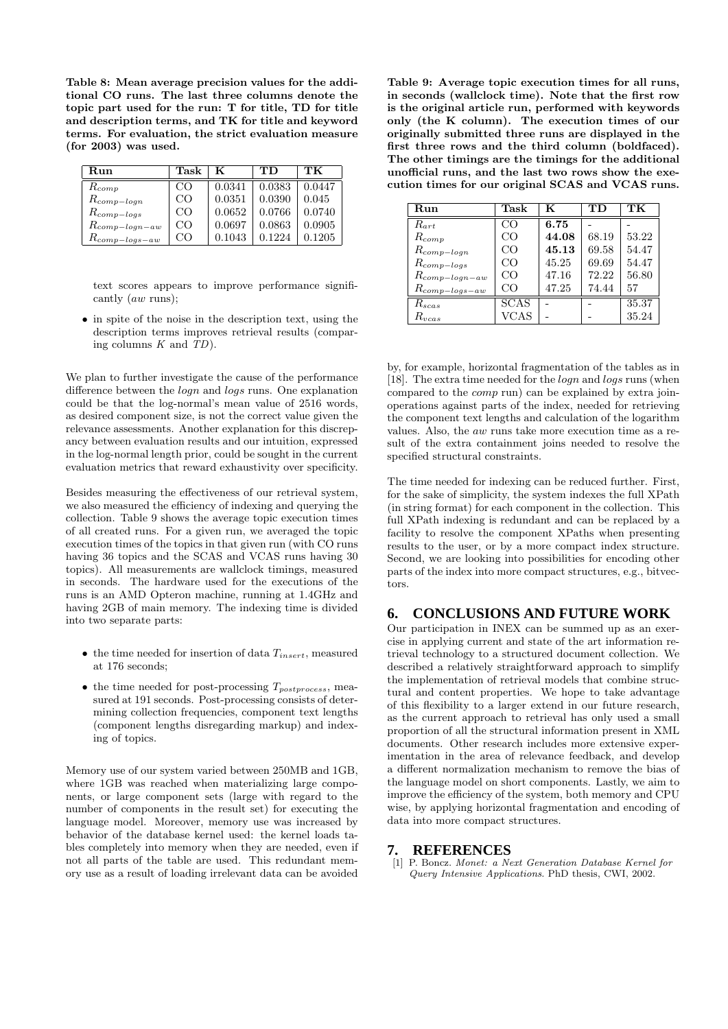Table 8: Mean average precision values for the additional CO runs. The last three columns denote the topic part used for the run: T for title, TD for title and description terms, and TK for title and keyword terms. For evaluation, the strict evaluation measure (for 2003) was used.

| Run                 | Task | K      | тn     | TК     |
|---------------------|------|--------|--------|--------|
| $R_{comp}$          | CO   | 0.0341 | 0.0383 | 0.0447 |
| $R_{comp-logn}$     | CO   | 0.0351 | 0.0390 | 0.045  |
| $R_{comp-logs}$     | CO   | 0.0652 | 0.0766 | 0.0740 |
| $R_{comp-log n-aw}$ | CO   | 0.0697 | 0.0863 | 0.0905 |
| $R_{comp-logs-aw}$  | CΩ   | 0.1043 | 0.1224 | 0.1205 |

text scores appears to improve performance significantly (aw runs);

• in spite of the noise in the description text, using the description terms improves retrieval results (comparing columns  $K$  and  $TD$ ).

We plan to further investigate the cause of the performance difference between the logn and logs runs. One explanation could be that the log-normal's mean value of 2516 words, as desired component size, is not the correct value given the relevance assessments. Another explanation for this discrepancy between evaluation results and our intuition, expressed in the log-normal length prior, could be sought in the current evaluation metrics that reward exhaustivity over specificity.

Besides measuring the effectiveness of our retrieval system, we also measured the efficiency of indexing and querying the collection. Table 9 shows the average topic execution times of all created runs. For a given run, we averaged the topic execution times of the topics in that given run (with CO runs having 36 topics and the SCAS and VCAS runs having 30 topics). All measurements are wallclock timings, measured in seconds. The hardware used for the executions of the runs is an AMD Opteron machine, running at 1.4GHz and having 2GB of main memory. The indexing time is divided into two separate parts:

- the time needed for insertion of data  $T_{insert}$ , measured at 176 seconds;
- $\bullet\,$  the time needed for post-processing  $T_{postprocess},$  measured at 191 seconds. Post-processing consists of determining collection frequencies, component text lengths (component lengths disregarding markup) and indexing of topics.

Memory use of our system varied between 250MB and 1GB, where 1GB was reached when materializing large components, or large component sets (large with regard to the number of components in the result set) for executing the language model. Moreover, memory use was increased by behavior of the database kernel used: the kernel loads tables completely into memory when they are needed, even if not all parts of the table are used. This redundant memory use as a result of loading irrelevant data can be avoided

Table 9: Average topic execution times for all runs, in seconds (wallclock time). Note that the first row is the original article run, performed with keywords only (the K column). The execution times of our originally submitted three runs are displayed in the first three rows and the third column (boldfaced). The other timings are the timings for the additional unofficial runs, and the last two rows show the execution times for our original SCAS and VCAS runs.

| Run                 | Task        | K     | тD    | TК    |
|---------------------|-------------|-------|-------|-------|
| $\bar{R}_{art}$     | CO          | 6.75  |       |       |
| $R_{comp}$          | CO          | 44.08 | 68.19 | 53.22 |
| $R_{comp-logn}$     | CO          | 45.13 | 69.58 | 54.47 |
| $R_{comp-logs}$     | CO          | 45.25 | 69.69 | 54.47 |
| $R_{comp-log n-aw}$ | CO          | 47.16 | 72.22 | 56.80 |
| $R_{comp-logs-aw}$  | CO          | 47.25 | 74.44 | 57    |
| $R_{scas}$          | <b>SCAS</b> |       |       | 35.37 |
| $R_{vcas}$          | VCAS        |       |       | 35.24 |

by, for example, horizontal fragmentation of the tables as in [18]. The extra time needed for the logn and logs runs (when compared to the comp run) can be explained by extra joinoperations against parts of the index, needed for retrieving the component text lengths and calculation of the logarithm values. Also, the aw runs take more execution time as a result of the extra containment joins needed to resolve the specified structural constraints.

The time needed for indexing can be reduced further. First, for the sake of simplicity, the system indexes the full XPath (in string format) for each component in the collection. This full XPath indexing is redundant and can be replaced by a facility to resolve the component XPaths when presenting results to the user, or by a more compact index structure. Second, we are looking into possibilities for encoding other parts of the index into more compact structures, e.g., bitvectors.

## **6. CONCLUSIONS AND FUTURE WORK**

Our participation in INEX can be summed up as an exercise in applying current and state of the art information retrieval technology to a structured document collection. We described a relatively straightforward approach to simplify the implementation of retrieval models that combine structural and content properties. We hope to take advantage of this flexibility to a larger extend in our future research, as the current approach to retrieval has only used a small proportion of all the structural information present in XML documents. Other research includes more extensive experimentation in the area of relevance feedback, and develop a different normalization mechanism to remove the bias of the language model on short components. Lastly, we aim to improve the efficiency of the system, both memory and CPU wise, by applying horizontal fragmentation and encoding of data into more compact structures.

#### **7. REFERENCES**

[1] P. Boncz. Monet: a Next Generation Database Kernel for Query Intensive Applications. PhD thesis, CWI, 2002.